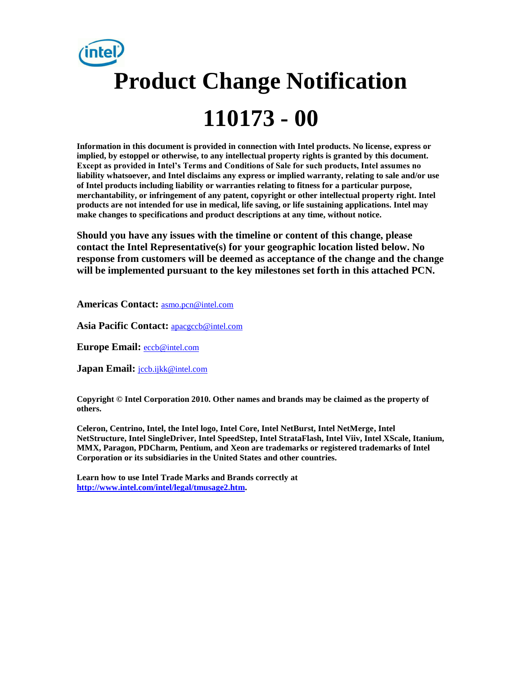

**Information in this document is provided in connection with Intel products. No license, express or implied, by estoppel or otherwise, to any intellectual property rights is granted by this document. Except as provided in Intel's Terms and Conditions of Sale for such products, Intel assumes no liability whatsoever, and Intel disclaims any express or implied warranty, relating to sale and/or use of Intel products including liability or warranties relating to fitness for a particular purpose, merchantability, or infringement of any patent, copyright or other intellectual property right. Intel products are not intended for use in medical, life saving, or life sustaining applications. Intel may make changes to specifications and product descriptions at any time, without notice.**

**Should you have any issues with the timeline or content of this change, please contact the Intel Representative(s) for your geographic location listed below. No response from customers will be deemed as acceptance of the change and the change will be implemented pursuant to the key milestones set forth in this attached PCN.** 

**Americas Contact:** [asmo.pcn@intel.com](mailto:asmo.pcn@intel.com) 

**Asia Pacific Contact:** [apacgccb@intel.com](mailto:apacgccb@intel.com) 

**Europe Email:** [eccb@intel.com](mailto:eccb@intel.com) 

**Japan Email:** [jccb.ijkk@intel.com](mailto:jccb.ijkk@intel.com) 

**Copyright © Intel Corporation 2010. Other names and brands may be claimed as the property of others.**

**Celeron, Centrino, Intel, the Intel logo, Intel Core, Intel NetBurst, Intel NetMerge, Intel NetStructure, Intel SingleDriver, Intel SpeedStep, Intel StrataFlash, Intel Viiv, Intel XScale, Itanium, MMX, Paragon, PDCharm, Pentium, and Xeon are trademarks or registered trademarks of Intel Corporation or its subsidiaries in the United States and other countries.**

**Learn how to use Intel Trade Marks and Brands correctly at [http://www.intel.com/intel/legal/tmusage2.htm.](http://www.intel.com/intel/legal/tmusage2.htm)**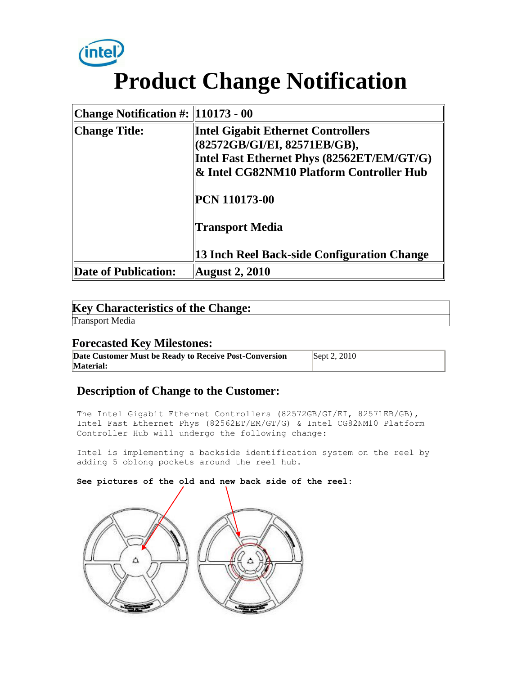

| Change Notification #: $\parallel$ 10173 - 00 |                                             |  |
|-----------------------------------------------|---------------------------------------------|--|
| Change Title:                                 | <b>Intel Gigabit Ethernet Controllers</b>   |  |
|                                               | (82572GB/GI/EI, 82571EB/GB),                |  |
|                                               | Intel Fast Ethernet Phys (82562ET/EM/GT/G)  |  |
|                                               | & Intel CG82NM10 Platform Controller Hub    |  |
|                                               | <b>PCN 110173-00</b>                        |  |
|                                               | <b>Transport Media</b>                      |  |
|                                               | 13 Inch Reel Back-side Configuration Change |  |
| Date of Publication:                          | <b>August 2, 2010</b>                       |  |

# **Key Characteristics of the Change:**

Transport Media

## **Forecasted Key Milestones:**

**Date Customer Must be Ready to Receive Post-Conversion Material:** Sept 2, 2010

## **Description of Change to the Customer:**

The Intel Gigabit Ethernet Controllers (82572GB/GI/EI, 82571EB/GB), Intel Fast Ethernet Phys (82562ET/EM/GT/G) & Intel CG82NM10 Platform Controller Hub will undergo the following change:

Intel is implementing a backside identification system on the reel by adding 5 oblong pockets around the reel hub.

**See pictures of the old and new back side of the reel:**